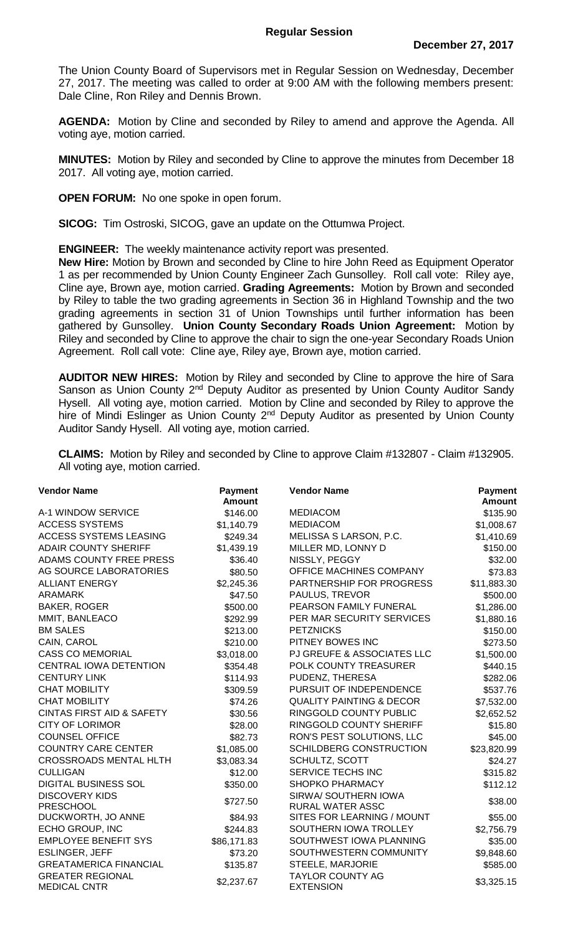The Union County Board of Supervisors met in Regular Session on Wednesday, December 27, 2017. The meeting was called to order at 9:00 AM with the following members present: Dale Cline, Ron Riley and Dennis Brown.

**AGENDA:** Motion by Cline and seconded by Riley to amend and approve the Agenda. All voting aye, motion carried.

**MINUTES:** Motion by Riley and seconded by Cline to approve the minutes from December 18 2017. All voting aye, motion carried.

**OPEN FORUM:** No one spoke in open forum.

**SICOG:** Tim Ostroski, SICOG, gave an update on the Ottumwa Project.

**ENGINEER:** The weekly maintenance activity report was presented.

**New Hire:** Motion by Brown and seconded by Cline to hire John Reed as Equipment Operator 1 as per recommended by Union County Engineer Zach Gunsolley. Roll call vote: Riley aye, Cline aye, Brown aye, motion carried. **Grading Agreements:** Motion by Brown and seconded by Riley to table the two grading agreements in Section 36 in Highland Township and the two grading agreements in section 31 of Union Townships until further information has been gathered by Gunsolley. **Union County Secondary Roads Union Agreement:** Motion by Riley and seconded by Cline to approve the chair to sign the one-year Secondary Roads Union Agreement. Roll call vote: Cline aye, Riley aye, Brown aye, motion carried.

**AUDITOR NEW HIRES:** Motion by Riley and seconded by Cline to approve the hire of Sara Sanson as Union County 2<sup>nd</sup> Deputy Auditor as presented by Union County Auditor Sandy Hysell. All voting aye, motion carried. Motion by Cline and seconded by Riley to approve the hire of Mindi Eslinger as Union County 2<sup>nd</sup> Deputy Auditor as presented by Union County Auditor Sandy Hysell. All voting aye, motion carried.

**CLAIMS:** Motion by Riley and seconded by Cline to approve Claim #132807 - Claim #132905. All voting aye, motion carried.

| <b>Vendor Name</b>                             | <b>Payment</b><br><b>Amount</b> | <b>Vendor Name</b>                          | <b>Payment</b><br><b>Amount</b> |
|------------------------------------------------|---------------------------------|---------------------------------------------|---------------------------------|
| A-1 WINDOW SERVICE                             | \$146.00                        | <b>MEDIACOM</b>                             | \$135.90                        |
| <b>ACCESS SYSTEMS</b>                          | \$1,140.79                      | <b>MEDIACOM</b>                             | \$1,008.67                      |
| ACCESS SYSTEMS LEASING                         | \$249.34                        | MELISSA S LARSON, P.C.                      | \$1,410.69                      |
| <b>ADAIR COUNTY SHERIFF</b>                    | \$1,439.19                      | MILLER MD, LONNY D                          | \$150.00                        |
| ADAMS COUNTY FREE PRESS                        | \$36.40                         | NISSLY, PEGGY                               | \$32.00                         |
| AG SOURCE LABORATORIES                         | \$80.50                         | OFFICE MACHINES COMPANY                     | \$73.83                         |
| <b>ALLIANT ENERGY</b>                          | \$2,245.36                      | PARTNERSHIP FOR PROGRESS                    | \$11,883.30                     |
| <b>ARAMARK</b>                                 | \$47.50                         | PAULUS, TREVOR                              | \$500.00                        |
| <b>BAKER, ROGER</b>                            | \$500.00                        | PEARSON FAMILY FUNERAL                      | \$1,286.00                      |
| MMIT, BANLEACO                                 | \$292.99                        | PER MAR SECURITY SERVICES                   | \$1,880.16                      |
| <b>BM SALES</b>                                | \$213.00                        | <b>PETZNICKS</b>                            | \$150.00                        |
| CAIN, CAROL                                    | \$210.00                        | PITNEY BOWES INC                            | \$273.50                        |
| <b>CASS CO MEMORIAL</b>                        | \$3,018.00                      | PJ GREUFE & ASSOCIATES LLC                  | \$1,500.00                      |
| <b>CENTRAL IOWA DETENTION</b>                  | \$354.48                        | POLK COUNTY TREASURER                       | \$440.15                        |
| <b>CENTURY LINK</b>                            | \$114.93                        | PUDENZ, THERESA                             | \$282.06                        |
| <b>CHAT MOBILITY</b>                           | \$309.59                        | PURSUIT OF INDEPENDENCE                     | \$537.76                        |
| <b>CHAT MOBILITY</b>                           | \$74.26                         | <b>QUALITY PAINTING &amp; DECOR</b>         | \$7,532.00                      |
| <b>CINTAS FIRST AID &amp; SAFETY</b>           | \$30.56                         | RINGGOLD COUNTY PUBLIC                      | \$2,652.52                      |
| <b>CITY OF LORIMOR</b>                         | \$28.00                         | RINGGOLD COUNTY SHERIFF                     | \$15.80                         |
| <b>COUNSEL OFFICE</b>                          | \$82.73                         | RON'S PEST SOLUTIONS, LLC                   | \$45.00                         |
| <b>COUNTRY CARE CENTER</b>                     | \$1,085.00                      | SCHILDBERG CONSTRUCTION                     | \$23,820.99                     |
| <b>CROSSROADS MENTAL HLTH</b>                  | \$3,083.34                      | <b>SCHULTZ, SCOTT</b>                       | \$24.27                         |
| <b>CULLIGAN</b>                                | \$12.00                         | SERVICE TECHS INC                           | \$315.82                        |
| <b>DIGITAL BUSINESS SOL</b>                    | \$350.00                        | <b>SHOPKO PHARMACY</b>                      | \$112.12                        |
| <b>DISCOVERY KIDS</b>                          |                                 | SIRWA/ SOUTHERN IOWA                        | \$38.00                         |
| <b>PRESCHOOL</b>                               | \$727.50                        | <b>RURAL WATER ASSC</b>                     |                                 |
| DUCKWORTH, JO ANNE                             | \$84.93                         | SITES FOR LEARNING / MOUNT                  | \$55.00                         |
| ECHO GROUP, INC                                | \$244.83                        | SOUTHERN IOWA TROLLEY                       | \$2,756.79                      |
| <b>EMPLOYEE BENEFIT SYS</b>                    | \$86,171.83                     | SOUTHWEST IOWA PLANNING                     | \$35.00                         |
| <b>ESLINGER, JEFF</b>                          | \$73.20                         | SOUTHWESTERN COMMUNITY                      | \$9,848.60                      |
| <b>GREATAMERICA FINANCIAL</b>                  | \$135.87                        | STEELE, MARJORIE                            | \$585.00                        |
| <b>GREATER REGIONAL</b><br><b>MEDICAL CNTR</b> | \$2,237.67                      | <b>TAYLOR COUNTY AG</b><br><b>EXTENSION</b> | \$3,325.15                      |